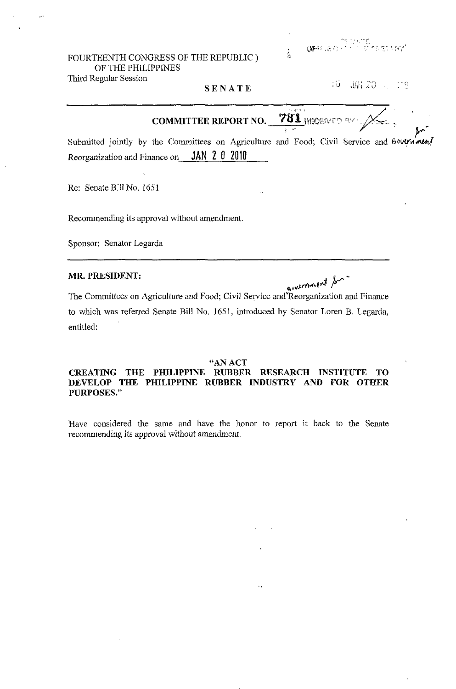FOURTEENTH CONGRESS OF THE REPUBLIC) OF THE PHILIPPINES Third Regular Session

ंच  $JW_4$  20  $\ldots$  : 3

781 HEGENED AV **COMMITTEE REPORT NO.** 

Submitted jointly by the Committees on Agriculture and Food; Civil Service and Gournmen Reorganization and Finance on **JAN 2 0 2010** 

SENATE

Re: Senate B.ll No. 1651

Recommending its approval without amendment.

Sponsor: Senator Legarda

### MR. PRESIDENT:

givernment for The Committees on Agriculture and Food; Civil Service and Reorganization and Finance to which was referred Senate Bill No. 1651, introduced by Senator Loren B. Legarda, entitled:

#### "AN ACT

### CREATING THE PHILIPPINE RUBBER RESEARCH INSTITUTE TO DEVELOP THE PHILIPPINE RUBBER INDUSTRY AND FOR OTHER **PURPOSES."**

Have considered the same and have the honor to report it back to the Senate recommending its approval without amendment.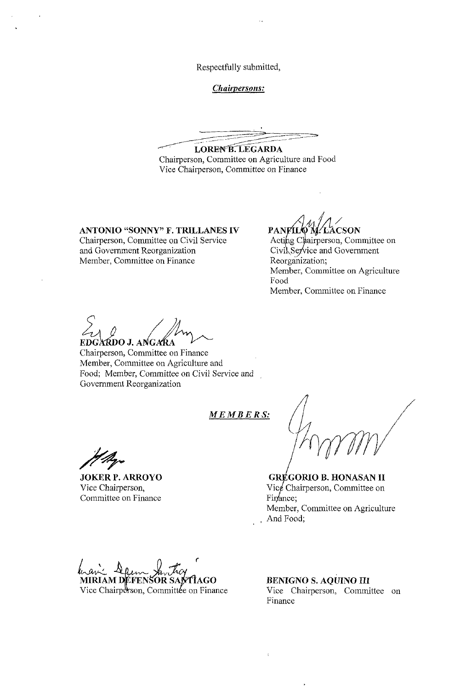Respectfully submitted,

*Chairpersons:* 

LOREN B. LEGARDA Chairperson, Committee on Agriculture and Food Vice Chairperson, Committee on Finance

**ANTONIO "SONNY" F. TRILLANES IV**  Chairperson, Committee on Civil Service and Government Reorganization

PANFILO M. LACSON

Acting Chairperson, Committee on Civil Service and Government Reorganization; Member, Committee on Agriculture Food Member, Committee on Finance

Member, Committee on Finance

EDGARDO J. ANGARA<br>Chairperson, Committee on Finance Member, Committee on Agriculture and Food; Member, Committee on Civil Service and Government Reorganization

*MEMBERS:* 

**JOKER P. ARROYO**  Vice Chairperson, Committee on Finance

**GRÉGORIO B. HONASAN II** Vice Chairperson, Committee on Finance; Member, Committee on Agriculture **And** Food;

 $MIRIAM$  *DEFENSOR SANTIAGO* Vice Chairperson, Committée on Finance

**BENIGNO S. AQUINO III**  Vice Chairperson, Committee on Finance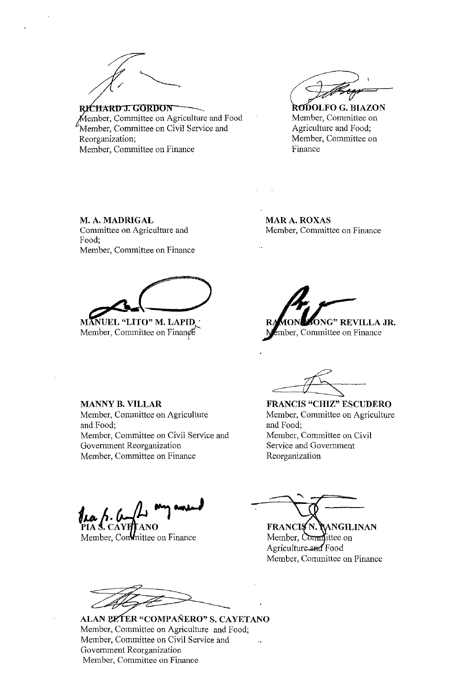RICHARD J. GORDON Member, Committee on Agriculture and Food Member, Committee on Civil Service and Reorganization; Member, Committee on Finance

**RODOLFO G. BIAZON** Member, Committee on Agriculture and Food; Member, Committee on Finance

M. A. MADRIGAL Committee on Agriculture and Food; Member, Committee on Finance

**MAR A. ROXAS** Member, Committee on Finance

**MANUEL "LITO" M. LAPID.** 

Member, Committee on Finance

ONG" REVILLA JR. Ember, Committee on Finance

**FRANCIS "CHIZ" ESCUDERO** Member, Committee on Agriculture and Food; Member, Committee on Civil Service and Government Reorganization

**MANNY B. VILLAR** 

Member, Committee on Agriculture and Food; Member, Committee on Civil Service and Government Reorganization Member, Committee on Finance

CAYE

Member, Continuitiee on Finance

**FRANCIS N. RANGILINAN** 

Member, Committee on Agriculture and Food Member, Committee on Finance

ALAN PETER "COMPAÑERO" S. CAYETANO Member, Committee on Agriculture and Food; Member, Committee on Civil Service and Government Reorganization Member, Committee on Finance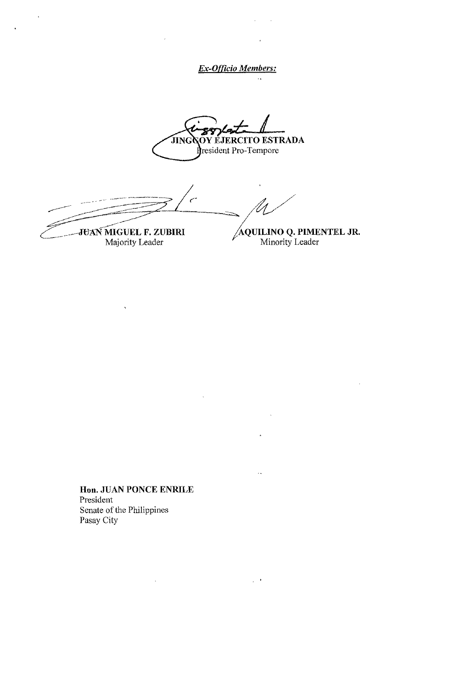*Ex-Ofllcio Members:* 

 $\bar{\phi}$ 

 $\ddot{\phantom{a}}$ 

 $\mathbf{r}$ 

OY ÉJERCITO ESTRADA **HNG** resident Pro-Tempore

.- ....... - .- .. - .------:---- --. -------~------~~ ( ------- /--------= =====- - ~-  $\sim$  /W

\_\_ -------JU:AN-MIGUEL **F. ZUBIRI**  Majority Leader

 $\ddot{\phantom{a}}$ 

-jQUI!-,!.NO **Q. PIMENTEL JR.**  Minority Leader

**Hon. JUAN PONCE ENRILE**  President Senate of the Philippines Pasay City

 $\overline{\phantom{a}}$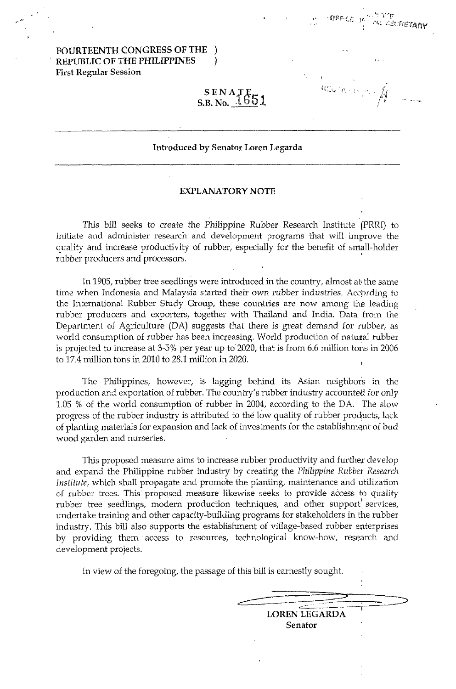# FOURTEENTH CONGRESS OF THE ) REPUBLIC OF THE PHILIPPINES ) First Regular Session

**SECRETARY** 

# $\texttt{S}\texttt{EN}\texttt{A}_{\textbf{t}}\texttt{T}_{\textbf{t}}\texttt{F}_{\textbf{t}}$  $S. B. No. 1651$

### Introduced by Senator Loren Legarda

#### EXPLANATORY NOTE

This bill seeks to create the Philippine Rubber Research Institute (PRRI) to initiate and administer research and development programs that will improve the quality and increase productivity of rubber, especially for the benefit of small-holder rubber producers and processors. '

In 1905, rubber tree seedlings were introduced in the country, almost abthe same time when Indonesia and Malaysia started their own rubber industries. Accprding to the International Rubber Study Group, these countries are now among the leading rubber producers and exporters, together with Thailand and India. Data from the Department of Agriculture (DA) suggests that there is great demand for rubber, as world consumption of rubber has been increasing. World production of natural rubber is projected to increase at 3-5% per year up to 2020, that is from 6.6 million tons in 2006 to 17.4 million tons in 2010 to 28.1 million in 2020.

The Philippines, however, is lagging behind its Asian neighbors in the production and exportation of rubber. The country's rubber industry accounted for only 1.05 % of the world consumption of rubber in 2004, according to the DA. The slow progress of the rubber industry is attributed to the low quality of rubber products, lack of planting materials for expansion and lack of investments for the establishment of bud wood garden and nurseries.

This proposed measure aims to increase rubber productivity and further develop and expand the Philippine rubber industry by creatirig the *Philippine Rubber Research Institute,* which shall propagate and promote the planting, maintenance and utilization of rubber trees. This proposed measure likewise seeks to provide access to quality rubber tree seedlings, modern production techniques, and other support services, undertake training and other capacity-building programs for stakeholders in the rubber industry. This bill also supports the establishment of village-based rubber enterprises by providing them' access to resources, technological know-how, research and development projects.

In view of the foregoing, the passage of this bill is earnestly sought.

| <b>LOREN LEGARDA</b> |  |
|----------------------|--|
| <b>Senator</b>       |  |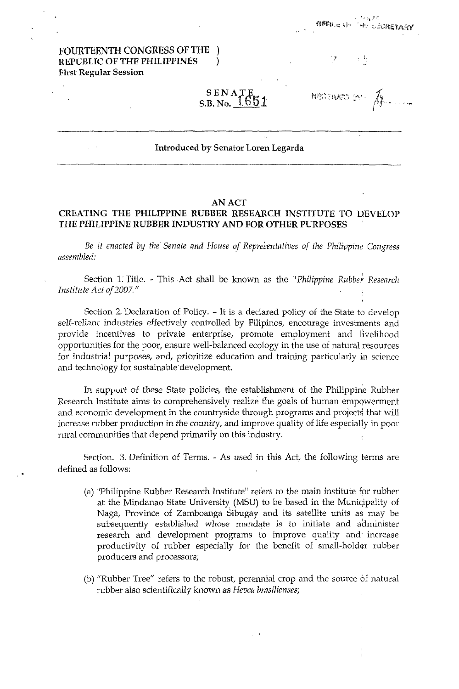# FOURTEENTH CONGRESS OF THE REPUBLIC OF THE PHILIPPINES ) First Regular Session

 $SENATF$  $\,$  S.B. No.  $\,16$ 

MAC DUPO 31

,  $^{\prime\prime}$  is  $7^\circ$ fji'I'H.,~ I,j,. . ,+, c,,,,:Fit;'!,\liV

#### Introduced by Senator Loren Legarda

#### AN ACT

## CREATING THE PHILIPPINE RUBBER RESEARCH INSTITUTE TO DEVELOP THE PHILIPPINE RUBBER INDUSTRY AND FOR OTHER PURPOSES

Be it enacted by the Senate and House of Representatives of the Philippine Congress *assembled.'* 

Section 1: Title. - This Act shall be known as the "*Philippine Rubber Research Institute Act of 2007."* 

Section 2, Declaration of Policy, - It is a declared policy of the State to develop self-reliant industries effectively controlled by Filipinos, encourage investments and provide incentives to private enterprise, promote employment and livelihood opportunities for the poor, ensure well-balanced ecology in the use of natural resources for industrial purposes, and, prioritize education and training particularly in science and technology for sustainable' development.

In support of these State policies, the establishment of the Philippine Rubber Research Institute aims to comprehensively realize the goals of human empowerment and economic development in the countryside through programs and projects that will increase rubber production in the country, and improve quality of life especially in poor rural communities that depend primarily on this industry.

Section. 3. Definition of Terms. - As used in this Act, the following terms are defined as follows:

- (a) "Philippine Rubber Research Institute" refers to the main institute for rubber at the Mindanao State University (MSU) to be based in the Municipality of Naga, Province of Zamboanga Sibugay and its satellite units as may be subsequently established whose mandate is to initiate and administer research and development programs to improve quality and' increase productivity of rubber especially for the benefit of small-holder rubber producers and processors;
- (b) "Rubber Tree" refers to the robust, perennial crop and the source of natural rubber also scientifically known as *Hevea brasilienses;*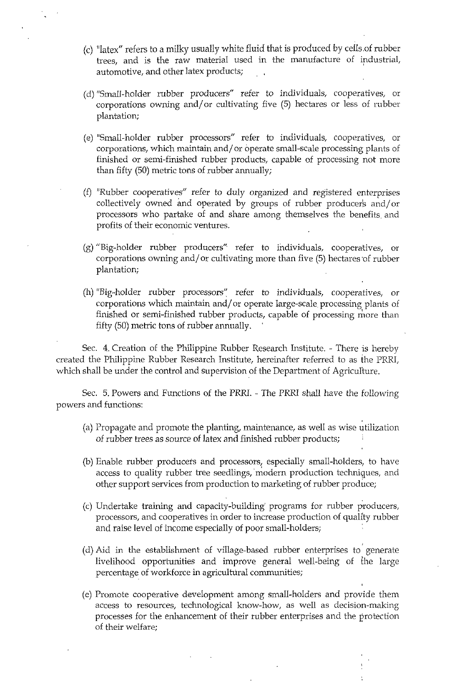- (c) "latex" refers to a milky usually white fluid that is produced by cells ,of rubber trees, and is the raw material used in the manufacture of industrial, automotive, and other latex products;
- (d) "Small-holder rubber producers" refer to individuals, cooperatives, or corporations owning and/or cultivating five  $(5)$  hectares or less of rubber plantation;
- (e) "Small-holder rubber processors" refer to individuals, cooperatives, or corporations, which maintain and/or operate small-scale processing plants of finished or semi-finished rubber products, capable of processing not more than fifty (50) metric tons of rubber annually;
- (f) "Rubber cooperatives" refer to duly organized and registered enterprises collectively owned and operated by groups of rubber producers and/or processors who partake of and share among themselves the benefits, and profits of their economic ventures.
- (g) "Big-holder rubber producers'" refer to individuals, cooperatives, or corporations owning and/or cultivating more than five (5) hectares of rubber plantation;
- (h) "Big-holder rubber processors" refer to individuals, cooperatives, or corporations which maintain and/or operate large-scale processing plants of finished or semi-finished rubber products, capable of processing more than fifty (50) metric tons of rubber annually.

Sec. 4. Creation of the Philippine Rubber Research Institute. - There is hereby created the Philippine Rubber Research Institute, hereinafter referred to as the PRRI, which shall be under the control and supervision of the Department of Agriculture.

Sec. 5. Powers and Functions of the PRRI. - The PRRI shall have the following powers and functions:

- (a) Propagate and promote the planting, maintenance, as well as wise utilization of rubber trees as source of latex and finished rubber products;
- (b) Enable rubber producers and processors, especially small-holders, to have access to quality rubber tree seedlings, modern production techniques, and other support services from production to marketing of rubber produce;
- (c) Undertake training and capacity-building' programs for rubber producers, processors, and cooperatives in order to increase production of quality rubber and raise level of income especially of poor small-holders;
- (d) Aid in the establishment of village-based rubber enterprises to' generate livelihood opportunities and improve general well-being of the large percentage of workforce in agricultural communities;
- (e) Promote cooperative development among small-holders and provide them access to resources, technological know-how, as well as decision-making processes for the enhancement of their rubber enterprises and the protection of their welfare;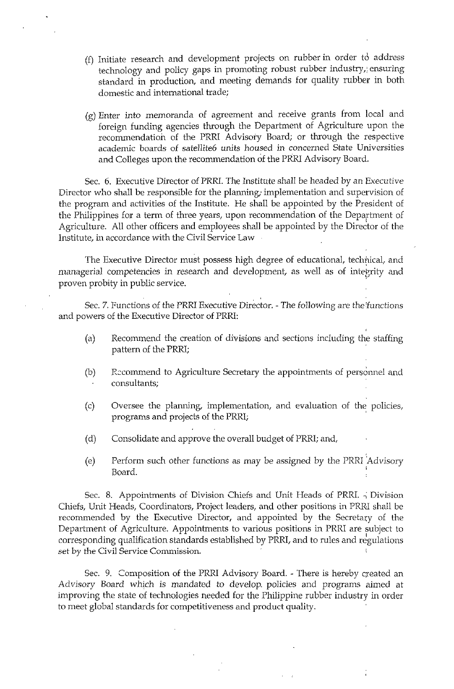- (f) Initiate research and development projects on rubber in order to address technology and policy gaps in promoting robust rubber industry,: ensuring standard in production, and meeting demands for quality rubber in both domestic and international trade;
- (g) Enter into memoranda of agreement and receive grants from local and foreign funding agencies through the Department of Agriculture upon the recommendation of the PRRI Advisory Board; or through the respective academic boards of satellite6 units housed in concerned State Universities and Colleges upon the recommendation of the PRRI Advisory Board.

Sec. 6. Executive Director of PRRI. The Institute shall be headed by an Executive Director who shall be responsible for the planning; implementation and supervision of the program and activities of the Institute. He shall be appointed by the President of the Philippines for a term of three years, upon recommendation of the Department of Agriculture. All other officers and employees shall be appointed by the Director of the Institute, in accordance with the Civil Service Law

The Executive Director must possess high degree of educational, technical, and managerial competencies in research and development, as well as of integrity and proven probity in public service. .

Sec. 7. Functions of the PRRI Executive Director. - The following are the 'functions and powers of the Executive Director of PRRI:

- (a) Recommend the creation of divisions and sections including the staffing pattern of the PRRI;
- (b) R::commend to Agriculture Secretary the appointments of personnel and consultants;
- $(c)$  Oversee the planning, implementation, and evaluation of the policies, programs and projects of the PRRI;
- (d) Consolidate and approve the overall budget of PRRI; and,
- (e) Perform such other functions as may be assigned by the PRRI Advisory Board.

Sec. 8. Appointments of Division Chiefs and Unit Heads of PRRI.  $\frac{1}{2}$  Division Chiefs, Unit Heads, Coordinators, Project leaders, and other positions in PRRI shall be recommended by the Executive Director, and appointed by the Secretary of the Department of Agriculture. Appointments to various positions in PRRI are subject to corresponding qualification standards established by PRRI, and to rules and regulations set by the Civil Service Commission.

Sec. 9. Composition of the PRRI Advisory Board. - There is hereby created an Advisory Board which is mandated to develop. policies and programs aimed at improving the state of technologies needed for the Philippine rubber industry in order to meet global standards for competitiveness and product quality.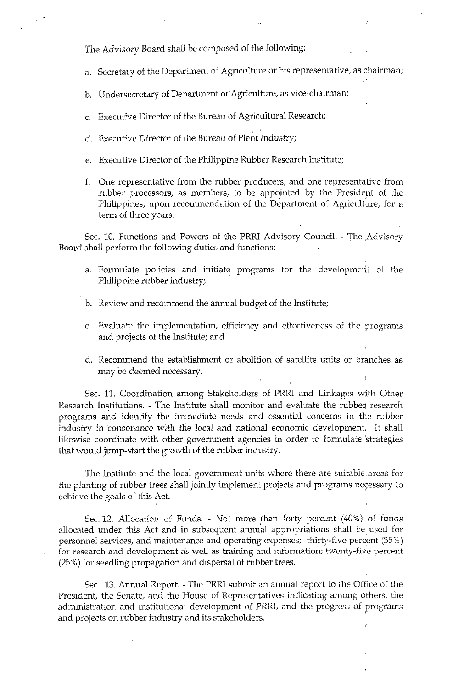The Advisory Board shall be *composed* of the following:

a. Secretary of the Department of Agriculture or his representative, as chairman;

b. Undersecretary of Department of Agriculture, as vice-chairman;

- c. Executive Director of the Bureau of Agricultural Research;
- d. Executive Director of the Bureau of Plant Industry;
- e. Executive Director of the Philippine Rubber Research Institute;
- f. One representative from the rubber producers, and one representative from rubber processors, as members, to be appointed by the Presidept of the Philippines, upon recommendation of the Department of Agriculture, for a term of three years.

Sec. 10. Functions and Powers of the PRRI Advisory Council. - The Advisory Board shall perform the following duties and functions:

- a. Formulate policies and initiate programs for the developmerit of the Philippine rubber industry;
- b. Review and recommend the annual budget of the Institute;
- c. Evaluate the implementation, efficiency and effectiveness of the programs and projects of the Institute; and
- d. Recommend the establishment or abolition of satellite units or branches as may be deemed necessary.

Sec. 11. Coordination among Stakeholders of PRRI and Linkages with Other Research Institutions. - The Institute shall monitor and evaluate the rubber research programs and identify the immediate needs and essential concerns in the rubber industry in consonance with the local and national economic development: It shall likewise coordinate with other government agencies in order to formulate 'strategies that would jump-start the growth of the rubber industry.

The Institute and the local government units where there are suitable areas for the planting of rubber trees shall jointly implement projects and programs necessary to achieve the goals of this Act.

Sec. 12. Allocation of Funds. - Not more than forty percent (40%) :of funds allocated under this Act and in subsequent annual appropriations shall be used for personnel services, and maintenance and operating expenses; thirty-five percent (35%) for research and development as well as training and information; twenty-five percent (25 %) for seedling propagation and dispersal of rubber trees.

Sec. 13. Annual Report. - The PRRI submit an annual report to the Office of the President, the Senate, and the House of Representatives indicating among others, the administration and institutional development of PRRI, and the progress of programs and projects on rubber industry and its stakeholders.